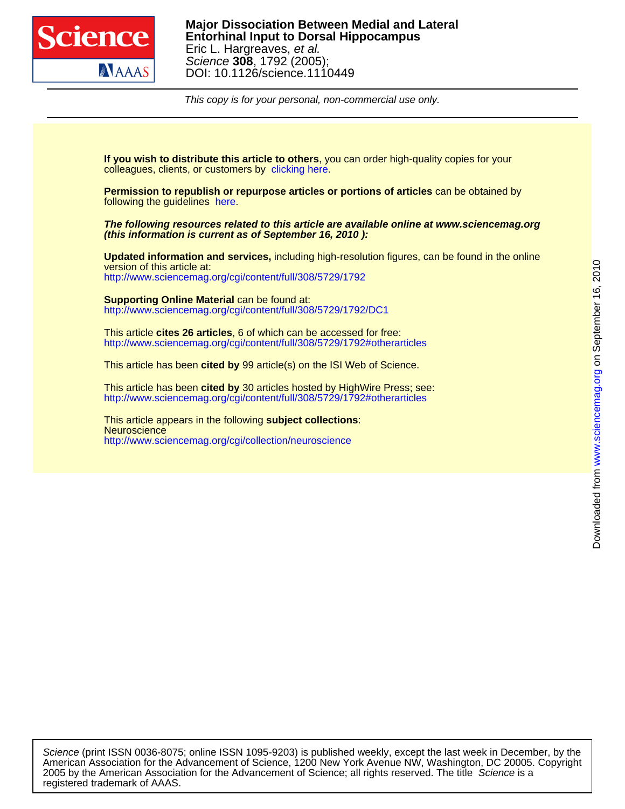

This copy is for your personal, non-commercial use only.

colleagues, clients, or customers by [clicking here.](http://www.sciencemag.org/about/permissions.dtl) **If you wish to distribute this article to others**, you can order high-quality copies for your

following the guidelines [here.](http://www.sciencemag.org/help/about/permissions.dtl) **Permission to republish or repurpose articles or portions of articles** can be obtained by

**(this information is current as of September 16, 2010 ): The following resources related to this article are available online at www.sciencemag.org**

<http://www.sciencemag.org/cgi/content/full/308/5729/1792> version of this article at: **Updated information and services,** including high-resolution figures, can be found in the online

<http://www.sciencemag.org/cgi/content/full/308/5729/1792/DC1> **Supporting Online Material** can be found at:

<http://www.sciencemag.org/cgi/content/full/308/5729/1792#otherarticles> This article **cites 26 articles**, 6 of which can be accessed for free:

This article has been **cited by** 99 article(s) on the ISI Web of Science.

<http://www.sciencemag.org/cgi/content/full/308/5729/1792#otherarticles> This article has been **cited by** 30 articles hosted by HighWire Press; see:

<http://www.sciencemag.org/cgi/collection/neuroscience> **Neuroscience** This article appears in the following **subject collections**:

registered trademark of AAAS. 2005 by the American Association for the Advancement of Science; all rights reserved. The title Science is a American Association for the Advancement of Science, 1200 New York Avenue NW, Washington, DC 20005. Copyright Science (print ISSN 0036-8075; online ISSN 1095-9203) is published weekly, except the last week in December, by the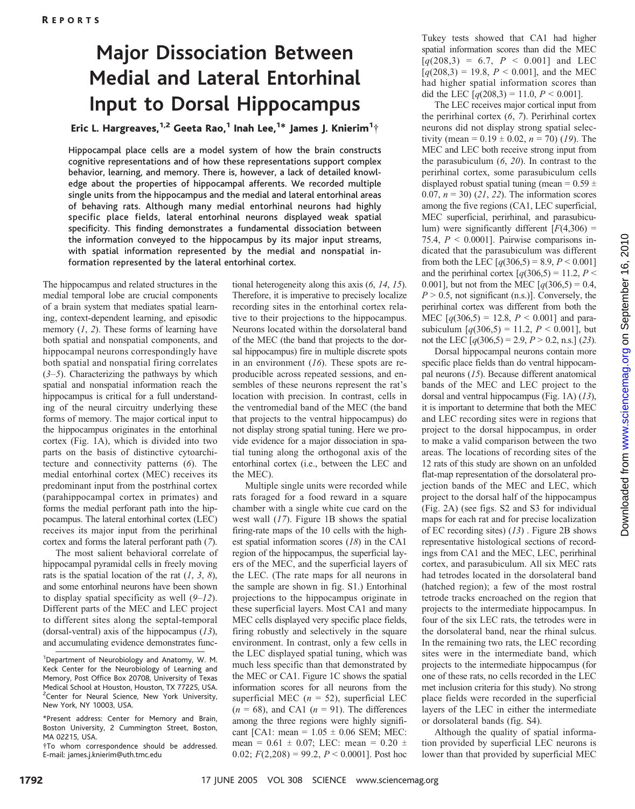# Major Dissociation Between Medial and Lateral Entorhinal Input to Dorsal Hippocampus

## Eric L. Hargreaves, $^{1,2}$  Geeta Rao, $^1$  Inah Lee, $^{1*}$  James J. Knierim $^1\dot{ }$

Hippocampal place cells are a model system of how the brain constructs cognitive representations and of how these representations support complex behavior, learning, and memory. There is, however, a lack of detailed knowledge about the properties of hippocampal afferents. We recorded multiple single units from the hippocampus and the medial and lateral entorhinal areas of behaving rats. Although many medial entorhinal neurons had highly specific place fields, lateral entorhinal neurons displayed weak spatial specificity. This finding demonstrates a fundamental dissociation between the information conveyed to the hippocampus by its major input streams, with spatial information represented by the medial and nonspatial information represented by the lateral entorhinal cortex.

The hippocampus and related structures in the medial temporal lobe are crucial components of a brain system that mediates spatial learning, context-dependent learning, and episodic memory  $(1, 2)$ . These forms of learning have both spatial and nonspatial components, and hippocampal neurons correspondingly have both spatial and nonspatial firing correlates  $(3-5)$ . Characterizing the pathways by which spatial and nonspatial information reach the hippocampus is critical for a full understanding of the neural circuitry underlying these forms of memory. The major cortical input to the hippocampus originates in the entorhinal cortex (Fig. 1A), which is divided into two parts on the basis of distinctive cytoarchitecture and connectivity patterns (6). The medial entorhinal cortex (MEC) receives its predominant input from the postrhinal cortex (parahippocampal cortex in primates) and forms the medial perforant path into the hippocampus. The lateral entorhinal cortex (LEC) receives its major input from the perirhinal cortex and forms the lateral perforant path (7).

The most salient behavioral correlate of hippocampal pyramidal cells in freely moving rats is the spatial location of the rat  $(1, 3, 8)$ , and some entorhinal neurons have been shown to display spatial specificity as well  $(9-12)$ . Different parts of the MEC and LEC project to different sites along the septal-temporal (dorsal-ventral) axis of the hippocampus (13), and accumulating evidence demonstrates func-

tional heterogeneity along this axis (6, 14, 15). Therefore, it is imperative to precisely localize recording sites in the entorhinal cortex relative to their projections to the hippocampus. Neurons located within the dorsolateral band of the MEC (the band that projects to the dorsal hippocampus) fire in multiple discrete spots in an environment  $(16)$ . These spots are reproducible across repeated sessions, and ensembles of these neurons represent the rat's location with precision. In contrast, cells in the ventromedial band of the MEC (the band that projects to the ventral hippocampus) do not display strong spatial tuning. Here we provide evidence for a major dissociation in spatial tuning along the orthogonal axis of the entorhinal cortex (i.e., between the LEC and the MEC).

Multiple single units were recorded while rats foraged for a food reward in a square chamber with a single white cue card on the west wall  $(17)$ . Figure 1B shows the spatial firing-rate maps of the 10 cells with the highest spatial information scores (18) in the CA1 region of the hippocampus, the superficial layers of the MEC, and the superficial layers of the LEC. (The rate maps for all neurons in the sample are shown in fig. S1.) Entorhinal projections to the hippocampus originate in these superficial layers. Most CA1 and many MEC cells displayed very specific place fields, firing robustly and selectively in the square environment. In contrast, only a few cells in the LEC displayed spatial tuning, which was much less specific than that demonstrated by the MEC or CA1. Figure 1C shows the spatial information scores for all neurons from the superficial MEC ( $n = 52$ ), superficial LEC  $(n = 68)$ , and CA1  $(n = 91)$ . The differences among the three regions were highly significant [CA1: mean =  $1.05 \pm 0.06$  SEM; MEC: mean =  $0.61 \pm 0.07$ ; LEC: mean =  $0.20 \pm 0.20$ 0.02;  $F(2,208) = 99.2$ ,  $P \le 0.0001$ . Post hoc

Tukey tests showed that CA1 had higher spatial information scores than did the MEC  $[q(208,3) = 6.7, P < 0.001]$  and LEC  $[q(208,3) = 19.8, P < 0.001]$ , and the MEC had higher spatial information scores than did the LEC  $\lceil q(208,3) = 11.0, P \le 0.001 \rceil$ .

The LEC receives major cortical input from the perirhinal cortex (6, 7). Perirhinal cortex neurons did not display strong spatial selectivity (mean =  $0.19 \pm 0.02$ ,  $n = 70$ ) (19). The MEC and LEC both receive strong input from the parasubiculum  $(6, 20)$ . In contrast to the perirhinal cortex, some parasubiculum cells displayed robust spatial tuning (mean =  $0.59 \pm$ 0.07,  $n = 30$ ) (21, 22). The information scores among the five regions (CA1, LEC superficial, MEC superficial, perirhinal, and parasubiculum) were significantly different  $[F(4,306) =$ 75.4,  $P < 0.0001$ . Pairwise comparisons indicated that the parasubiculum was different from both the LEC  $[q(306,5) = 8.9, P < 0.001]$ and the perirhinal cortex  $\lceil q(306,5) = 11.2, P <$ 0.001], but not from the MEC  $[q(306,5) = 0.4]$ ,  $P > 0.5$ , not significant (n.s.). Conversely, the perirhinal cortex was different from both the MEC  $[q(306,5) = 12.8, P < 0.001]$  and parasubiculum  $[q(306,5) = 11.2, P < 0.001]$ , but not the LEC  $[q(306,5) = 2.9, P > 0.2, n.s.]$  (23).

Dorsal hippocampal neurons contain more specific place fields than do ventral hippocampal neurons (15). Because different anatomical bands of the MEC and LEC project to the dorsal and ventral hippocampus (Fig. 1A) (13), it is important to determine that both the MEC and LEC recording sites were in regions that project to the dorsal hippocampus, in order to make a valid comparison between the two areas. The locations of recording sites of the 12 rats of this study are shown on an unfolded flat-map representation of the dorsolateral projection bands of the MEC and LEC, which project to the dorsal half of the hippocampus (Fig. 2A) (see figs. S2 and S3 for individual maps for each rat and for precise localization of EC recording sites) (13) . Figure 2B shows representative histological sections of recordings from CA1 and the MEC, LEC, perirhinal cortex, and parasubiculum. All six MEC rats had tetrodes located in the dorsolateral band (hatched region); a few of the most rostral tetrode tracks encroached on the region that projects to the intermediate hippocampus. In four of the six LEC rats, the tetrodes were in the dorsolateral band, near the rhinal sulcus. In the remaining two rats, the LEC recording sites were in the intermediate band, which projects to the intermediate hippocampus (for one of these rats, no cells recorded in the LEC met inclusion criteria for this study). No strong place fields were recorded in the superficial layers of the LEC in either the intermediate or dorsolateral bands (fig. S4).

Although the quality of spatial information provided by superficial LEC neurons is lower than that provided by superficial MEC

<sup>&</sup>lt;sup>1</sup>Department of Neurobiology and Anatomy, W. M. Keck Center for the Neurobiology of Learning and Memory, Post Office Box 20708, University of Texas Medical School at Houston, Houston, TX 77225, USA. <sup>2</sup> Center for Neural Science, New York University, New York, NY 10003, USA.

<sup>\*</sup>Present address: Center for Memory and Brain, Boston University, 2 Cummington Street, Boston, MA 02215, USA.

<sup>.</sup>To whom correspondence should be addressed. E-mail: james.j.knierim@uth.tmc.edu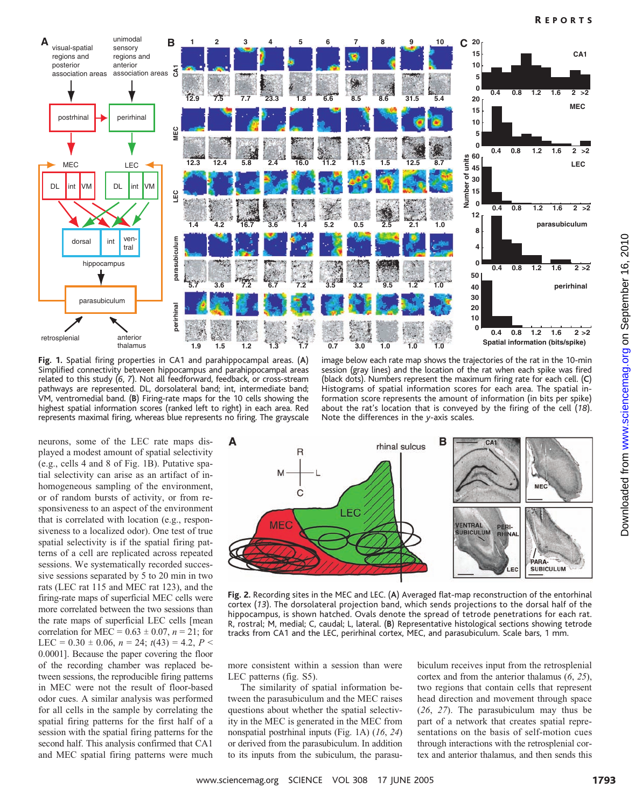

Fig. 1. Spatial firing properties in CA1 and parahippocampal areas. (A) Simplified connectivity between hippocampus and parahippocampal areas related to this study  $(6, 7)$ . Not all feedforward, feedback, or cross-stream pathways are represented. DL, dorsolateral band; int, intermediate band; VM, ventromedial band. (B) Firing-rate maps for the 10 cells showing the highest spatial information scores (ranked left to right) in each area. Red represents maximal firing, whereas blue represents no firing. The grayscale

image below each rate map shows the trajectories of the rat in the 10-min session (gray lines) and the location of the rat when each spike was fired (black dots). Numbers represent the maximum firing rate for each cell. (C) Histograms of spatial information scores for each area. The spatial information score represents the amount of information (in bits per spike) about the rat's location that is conveyed by the firing of the cell (18). Note the differences in the y-axis scales.

neurons, some of the LEC rate maps displayed a modest amount of spatial selectivity (e.g., cells 4 and 8 of Fig. 1B). Putative spatial selectivity can arise as an artifact of inhomogeneous sampling of the environment, or of random bursts of activity, or from responsiveness to an aspect of the environment that is correlated with location (e.g., responsiveness to a localized odor). One test of true spatial selectivity is if the spatial firing patterns of a cell are replicated across repeated sessions. We systematically recorded successive sessions separated by 5 to 20 min in two rats (LEC rat 115 and MEC rat 123), and the firing-rate maps of superficial MEC cells were more correlated between the two sessions than the rate maps of superficial LEC cells [mean correlation for MEC =  $0.63 \pm 0.07$ ,  $n = 21$ ; for LEC =  $0.30 \pm 0.06$ ,  $n = 24$ ;  $t(43) = 4.2$ ,  $P <$ 0.0001]. Because the paper covering the floor of the recording chamber was replaced between sessions, the reproducible firing patterns in MEC were not the result of floor-based odor cues. A similar analysis was performed for all cells in the sample by correlating the spatial firing patterns for the first half of a session with the spatial firing patterns for the second half. This analysis confirmed that CA1 and MEC spatial firing patterns were much



Fig. 2. Recording sites in the MEC and LEC. (A) Averaged flat-map reconstruction of the entorhinal cortex (13). The dorsolateral projection band, which sends projections to the dorsal half of the hippocampus, is shown hatched. Ovals denote the spread of tetrode penetrations for each rat. R, rostral; M, medial; C, caudal; L, lateral. (B) Representative histological sections showing tetrode tracks from CA1 and the LEC, perirhinal cortex, MEC, and parasubiculum. Scale bars, 1 mm.

more consistent within a session than were LEC patterns (fig. S5).

The similarity of spatial information between the parasubiculum and the MEC raises questions about whether the spatial selectivity in the MEC is generated in the MEC from nonspatial postrhinal inputs (Fig. 1A) (16, 24) or derived from the parasubiculum. In addition to its inputs from the subiculum, the parasubiculum receives input from the retrosplenial cortex and from the anterior thalamus (6, 25), two regions that contain cells that represent head direction and movement through space (26, 27). The parasubiculum may thus be part of a network that creates spatial representations on the basis of self-motion cues through interactions with the retrosplenial cortex and anterior thalamus, and then sends this